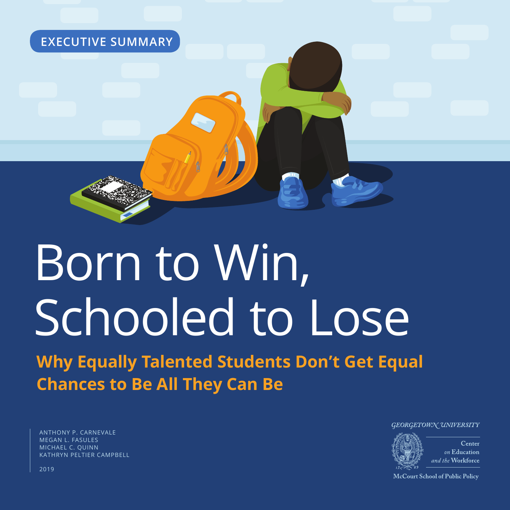

# Born to Win, Schooled to Lose

**Why Equally Talented Students Don't Get Equal Chances to Be All They Can Be** 

ANTHONY P. CARNEVALE MEGAN L. FASULES MICHAEL C. QUINN KATHRYN PELTIER CAMPBELL **GEORGETOWN UNIVERSITY** 



Center on Education and the Workforce

McCourt School of Public Policy

2019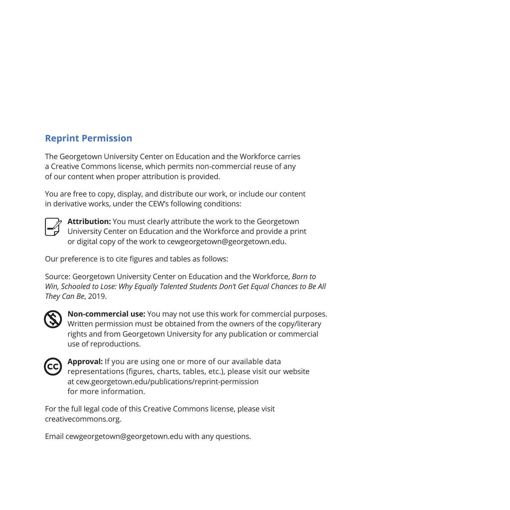#### **Reprint Permission**

The Georgetown University Center on Education and the Workforce carries a Creative Commons license, which permits non-commercial reuse of any of our content when proper attribution is provided.

You are free to copy, display, and distribute our work, or include our content in derivative works, under the CEW's following conditions:



**Attribution:** You must clearly attribute the work to the Georgetown University Center on Education and the Workforce and provide a print or digital copy of the work to cewgeorgetown@georgetown.edu.

Our preference is to cite figures and tables as follows:

Source: Georgetown University Center on Education and the Workforce, *Born to Win, Schooled to Lose: Why Equally Talented Students Don't Get Equal Chances to Be All They Can Be*, 2019.



**Non-commercial use:** You may not use this work for commercial purposes. Written permission must be obtained from the owners of the copy/literary rights and from Georgetown University for any publication or commercial use of reproductions.

| ۰.<br>× |
|---------|
|         |

**Approval:** If you are using one or more of our available data representations (figures, charts, tables, etc.), please visit our website at cew.georgetown.edu/publications/reprint-permission for more information.

For the full legal code of this Creative Commons license, please visit creativecommons.org.

Email cewgeorgetown@georgetown.edu with any questions.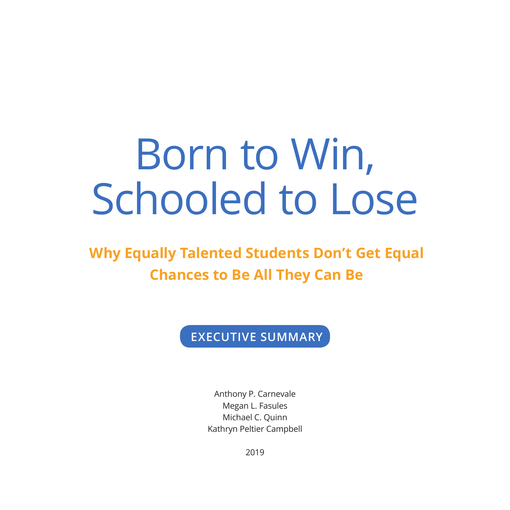# Born to Win, Schooled to Lose

**Why Equally Talented Students Don't Get Equal Chances to Be All They Can Be** 

**EXECUTIVE SUMMARY**

Anthony P. Carnevale Megan L. Fasules Michael C. Quinn Kathryn Peltier Campbell

2019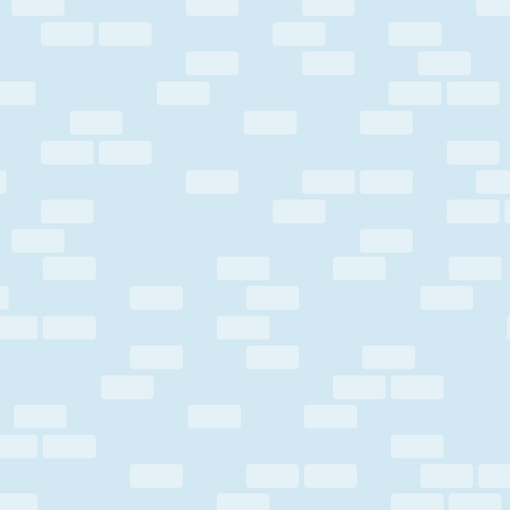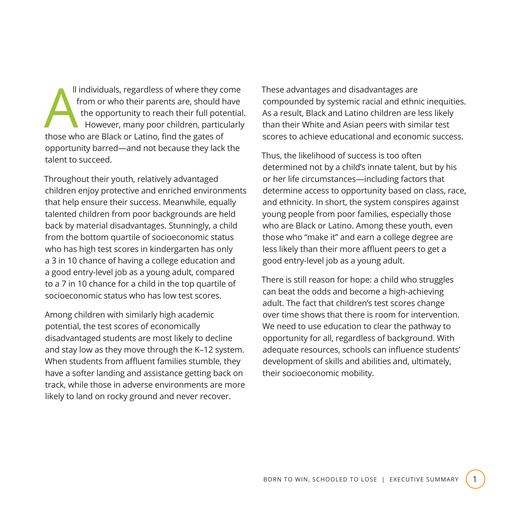II individuals, regardless of where they controlled the opportunity to reach their full pote However, many poor children, particulations who are Black or Latino, find the gates of ll individuals, regardless of where they come from or who their parents are, should have the opportunity to reach their full potential. However, many poor children, particularly opportunity barred—and not because they lack the talent to succeed.

Throughout their youth, relatively advantaged children enjoy protective and enriched environments that help ensure their success. Meanwhile, equally talented children from poor backgrounds are held back by material disadvantages. Stunningly, a child from the bottom quartile of socioeconomic status who has high test scores in kindergarten has only a 3 in 10 chance of having a college education and a good entry-level job as a young adult, compared to a 7 in 10 chance for a child in the top quartile of socioeconomic status who has low test scores.

Among children with similarly high academic potential, the test scores of economically disadvantaged students are most likely to decline and stay low as they move through the K–12 system. When students from affluent families stumble, they have a softer landing and assistance getting back on track, while those in adverse environments are more likely to land on rocky ground and never recover.

These advantages and disadvantages are compounded by systemic racial and ethnic inequities. As a result, Black and Latino children are less likely than their White and Asian peers with similar test scores to achieve educational and economic success.

Thus, the likelihood of success is too often determined not by a child's innate talent, but by his or her life circumstances—including factors that determine access to opportunity based on class, race, and ethnicity. In short, the system conspires against young people from poor families, especially those who are Black or Latino. Among these youth, even those who "make it" and earn a college degree are less likely than their more affluent peers to get a good entry-level job as a young adult.

There is still reason for hope: a child who struggles can beat the odds and become a high-achieving adult. The fact that children's test scores change over time shows that there is room for intervention. We need to use education to clear the pathway to opportunity for all, regardless of background. With adequate resources, schools can influence students' development of skills and abilities and, ultimately, their socioeconomic mobility.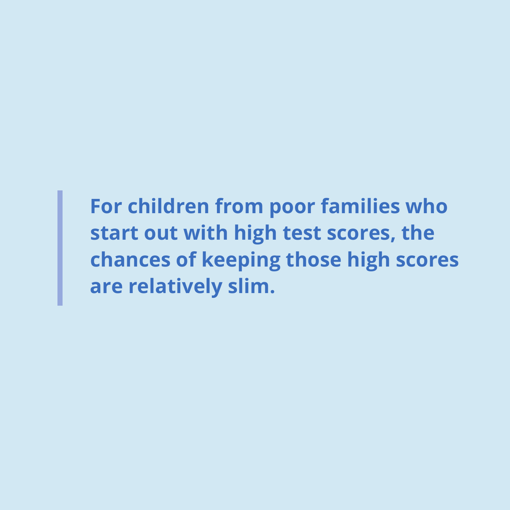**For children from poor families who start out with high test scores, the chances of keeping those high scores are relatively slim.**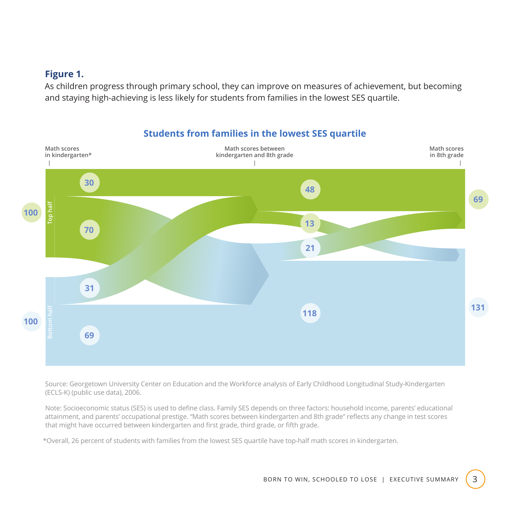#### **Figure 1.**

As children progress through primary school, they can improve on measures of achievement, but becoming and staying high-achieving is less likely for students from families in the lowest SES quartile.



Source: Georgetown University Center on Education and the Workforce analysis of Early Childhood Longitudinal Study-Kindergarten (ECLS-K) (public use data), 2006.

Note: Socioeconomic status (SES) is used to define class. Family SES depends on three factors: household income, parents' educational attainment, and parents' occupational prestige. "Math scores between kindergarten and 8th grade" reflects any change in test scores that might have occurred between kindergarten and first grade, third grade, or fifth grade.

\*Overall, 26 percent of students with families from the lowest SES quartile have top-half math scores in kindergarten.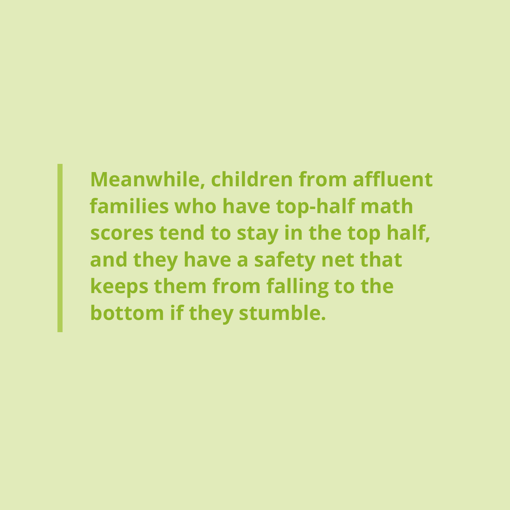## **Meanwhile, children from affluent families who have top-half math scores tend to stay in the top half, and they have a safety net that keeps them from falling to the bottom if they stumble.**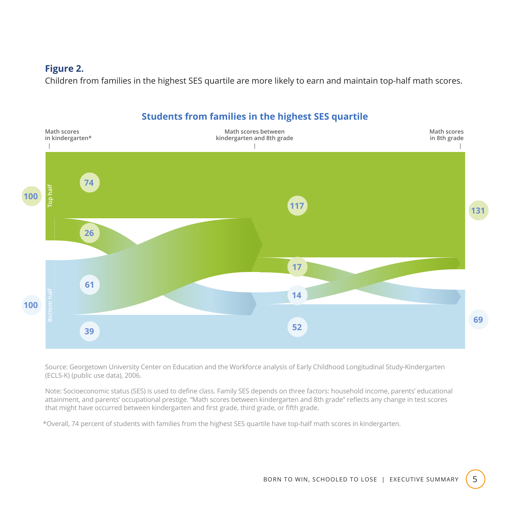#### **Figure 2.**

Children from families in the highest SES quartile are more likely to earn and maintain top-half math scores.



### **Students from families in the highest SES quartile**

Source: Georgetown University Center on Education and the Workforce analysis of Early Childhood Longitudinal Study-Kindergarten (ECLS-K) (public use data), 2006.

Note: Socioeconomic status (SES) is used to define class. Family SES depends on three factors: household income, parents' educational attainment, and parents' occupational prestige. "Math scores between kindergarten and 8th grade" reflects any change in test scores that might have occurred between kindergarten and first grade, third grade, or fifth grade.

\*Overall, 74 percent of students with families from the highest SES quartile have top-half math scores in kindergarten.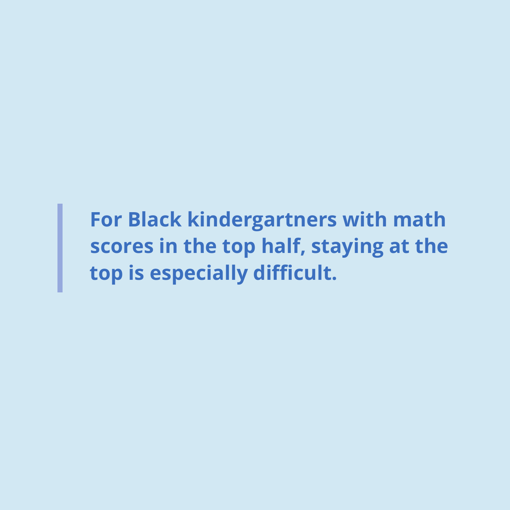**For Black kindergartners with math scores in the top half, staying at the top is especially difficult.**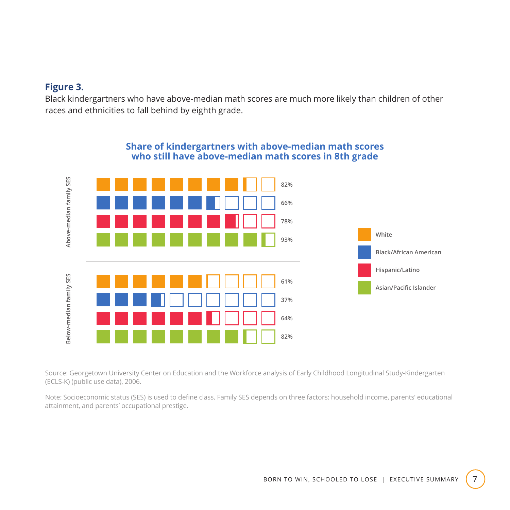#### **Figure 3.**

Black kindergartners who have above-median math scores are much more likely than children of other races and ethnicities to fall behind by eighth grade.



#### **Share of kindergartners with above-median math scores who still have above-median math scores in 8th grade**

Source: Georgetown University Center on Education and the Workforce analysis of Early Childhood Longitudinal Study-Kindergarten (ECLS-K) (public use data), 2006.

Note: Socioeconomic status (SES) is used to define class. Family SES depends on three factors: household income, parents' educational attainment, and parents' occupational prestige.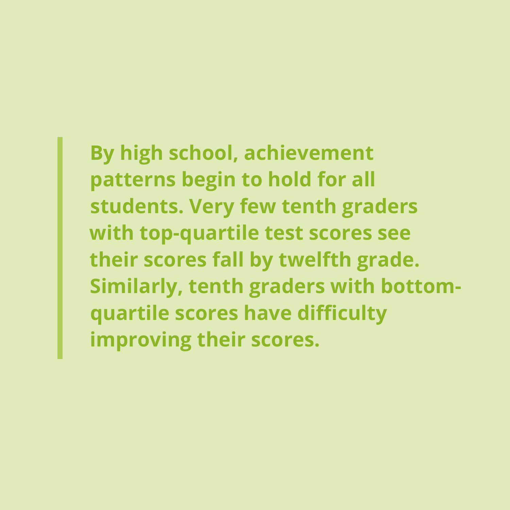**By high school, achievement patterns begin to hold for all students. Very few tenth graders with top-quartile test scores see their scores fall by twelfth grade. Similarly, tenth graders with bottomquartile scores have difficulty improving their scores.**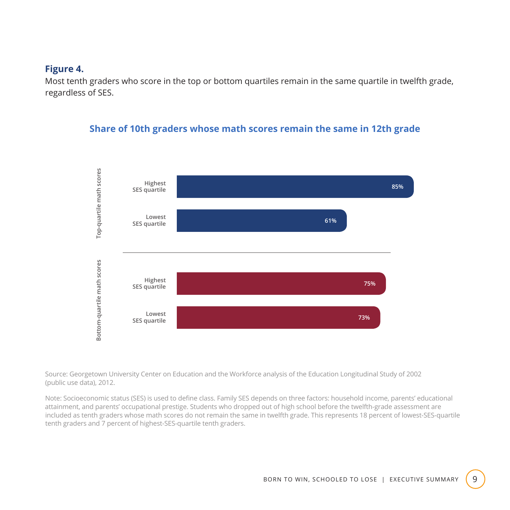#### **Figure 4.**

Most tenth graders who score in the top or bottom quartiles remain in the same quartile in twelfth grade, regardless of SES.

#### **Share of 10th graders whose math scores remain the same in 12th grade**



Source: Georgetown University Center on Education and the Workforce analysis of the Education Longitudinal Study of 2002 (public use data), 2012.

Note: Socioeconomic status (SES) is used to define class. Family SES depends on three factors: household income, parents' educational attainment, and parents' occupational prestige. Students who dropped out of high school before the twelfth-grade assessment are included as tenth graders whose math scores do not remain the same in twelfth grade. This represents 18 percent of lowest-SES-quartile tenth graders and 7 percent of highest-SES-quartile tenth graders.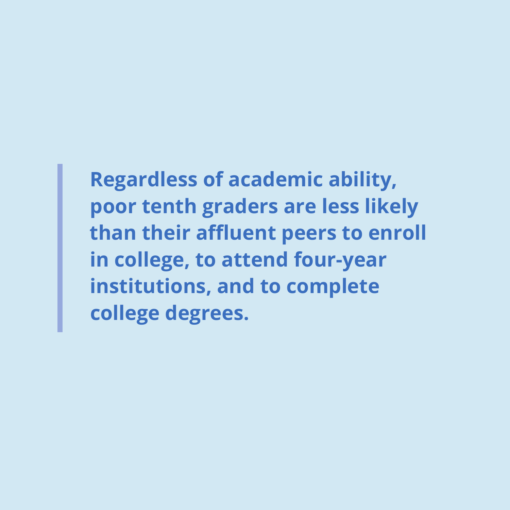**Regardless of academic ability, poor tenth graders are less likely than their affluent peers to enroll in college, to attend four-year institutions, and to complete college degrees.**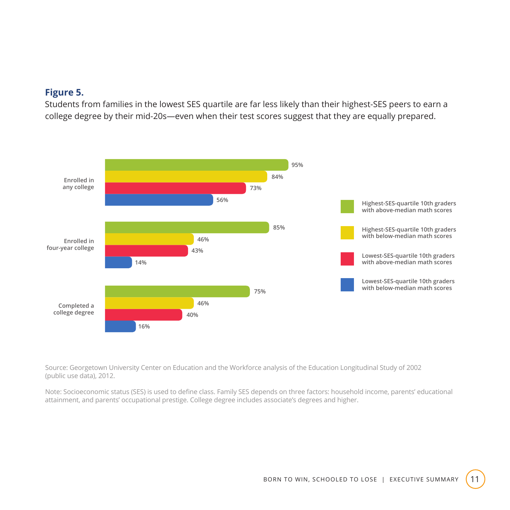#### **Figure 5.**

Students from families in the lowest SES quartile are far less likely than their highest-SES peers to earn a college degree by their mid-20s—even when their test scores suggest that they are equally prepared.



Source: Georgetown University Center on Education and the Workforce analysis of the Education Longitudinal Study of 2002 (public use data), 2012.

Note: Socioeconomic status (SES) is used to define class. Family SES depends on three factors: household income, parents' educational attainment, and parents' occupational prestige. College degree includes associate's degrees and higher.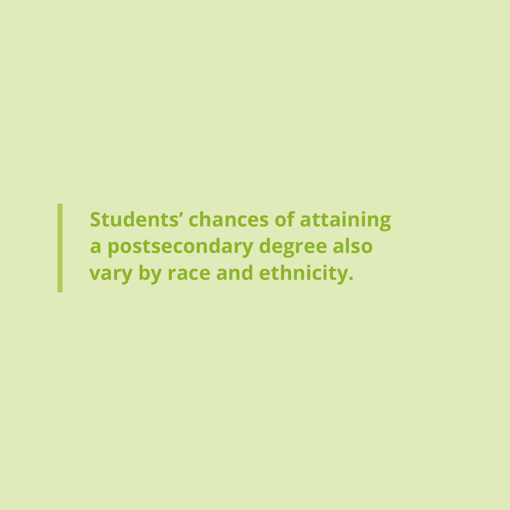**Students' chances of attaining a postsecondary degree also vary by race and ethnicity.**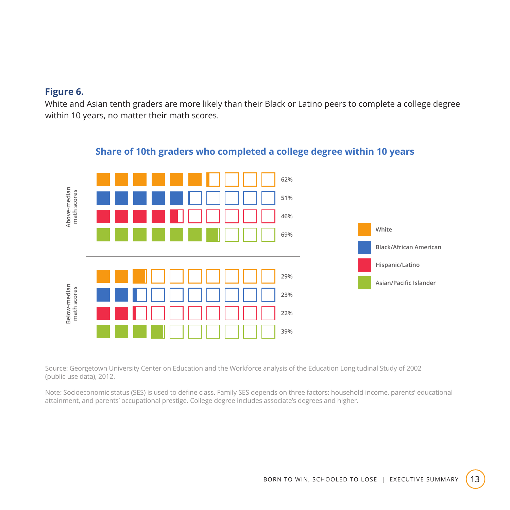#### **Figure 6.**

White and Asian tenth graders are more likely than their Black or Latino peers to complete a college degree within 10 years, no matter their math scores.



#### **Share of 10th graders who completed a college degree within 10 years**

Source: Georgetown University Center on Education and the Workforce analysis of the Education Longitudinal Study of 2002 (public use data), 2012.

Note: Socioeconomic status (SES) is used to define class. Family SES depends on three factors: household income, parents' educational attainment, and parents' occupational prestige. College degree includes associate's degrees and higher.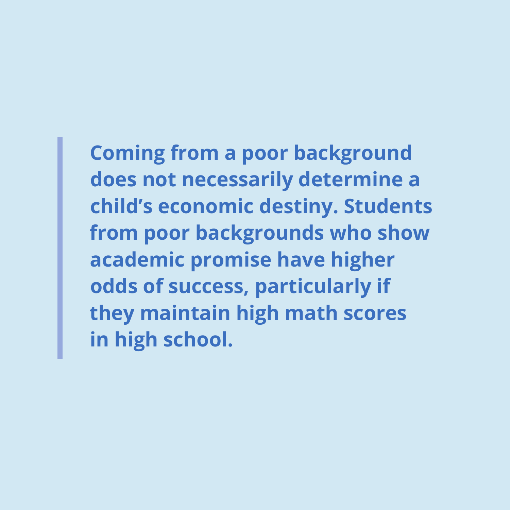**Coming from a poor background does not necessarily determine a child's economic destiny. Students from poor backgrounds who show academic promise have higher odds of success, particularly if they maintain high math scores in high school.**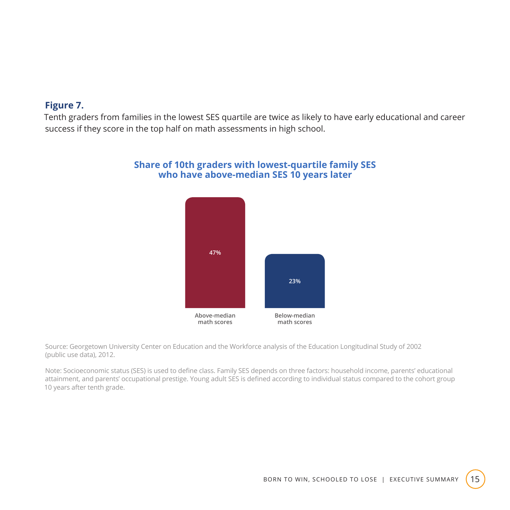#### **Figure 7.**

Tenth graders from families in the lowest SES quartile are twice as likely to have early educational and career success if they score in the top half on math assessments in high school.



#### **Share of 10th graders with lowest-quartile family SES who have above-median SES 10 years later**

Source: Georgetown University Center on Education and the Workforce analysis of the Education Longitudinal Study of 2002 (public use data), 2012.

Note: Socioeconomic status (SES) is used to define class. Family SES depends on three factors: household income, parents' educational attainment, and parents' occupational prestige. Young adult SES is defined according to individual status compared to the cohort group 10 years after tenth grade.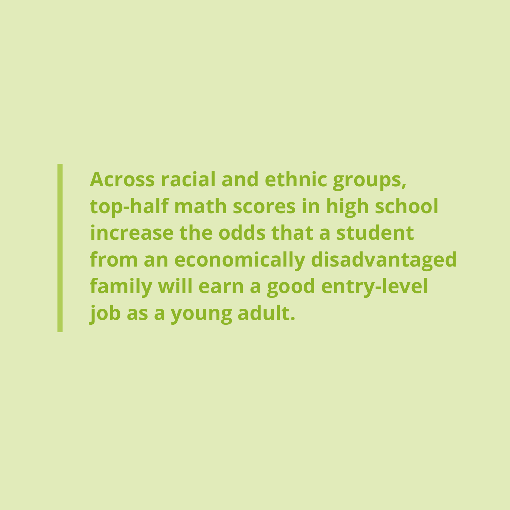## **Across racial and ethnic groups, top-half math scores in high school increase the odds that a student from an economically disadvantaged family will earn a good entry-level job as a young adult.**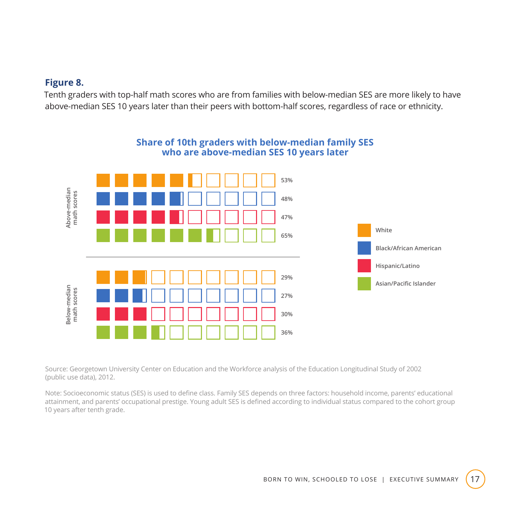#### **Figure 8.**

Tenth graders with top-half math scores who are from families with below-median SES are more likely to have above-median SES 10 years later than their peers with bottom-half scores, regardless of race or ethnicity.



**Share of 10th graders with below-median family SES who are above-median SES 10 years later**

Source: Georgetown University Center on Education and the Workforce analysis of the Education Longitudinal Study of 2002 (public use data), 2012.

Note: Socioeconomic status (SES) is used to define class. Family SES depends on three factors: household income, parents' educational attainment, and parents' occupational prestige. Young adult SES is defined according to individual status compared to the cohort group 10 years after tenth grade.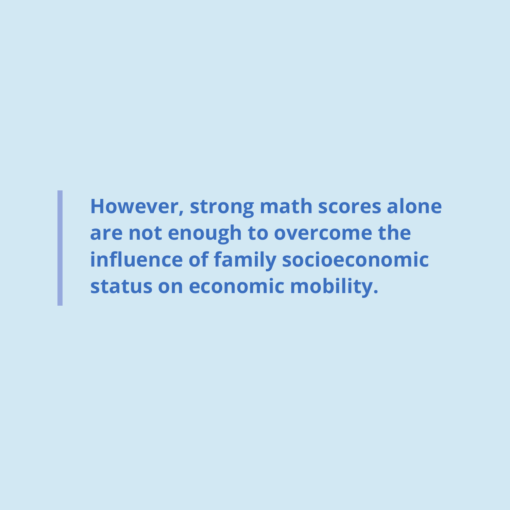**However, strong math scores alone are not enough to overcome the influence of family socioeconomic status on economic mobility.**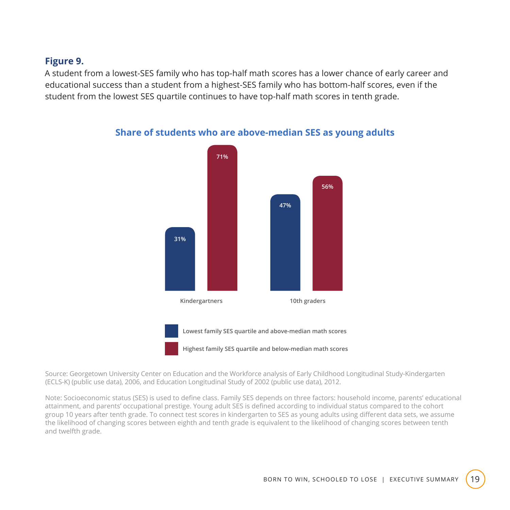#### **Figure 9.**

A student from a lowest-SES family who has top-half math scores has a lower chance of early career and educational success than a student from a highest-SES family who has bottom-half scores, even if the student from the lowest SES quartile continues to have top-half math scores in tenth grade.



#### **Share of students who are above-median SES as young adults**

Source: Georgetown University Center on Education and the Workforce analysis of Early Childhood Longitudinal Study-Kindergarten (ECLS-K) (public use data), 2006, and Education Longitudinal Study of 2002 (public use data), 2012.

Note: Socioeconomic status (SES) is used to define class. Family SES depends on three factors: household income, parents' educational attainment, and parents' occupational prestige. Young adult SES is defined according to individual status compared to the cohort group 10 years after tenth grade. To connect test scores in kindergarten to SES as young adults using different data sets, we assume the likelihood of changing scores between eighth and tenth grade is equivalent to the likelihood of changing scores between tenth and twelfth grade.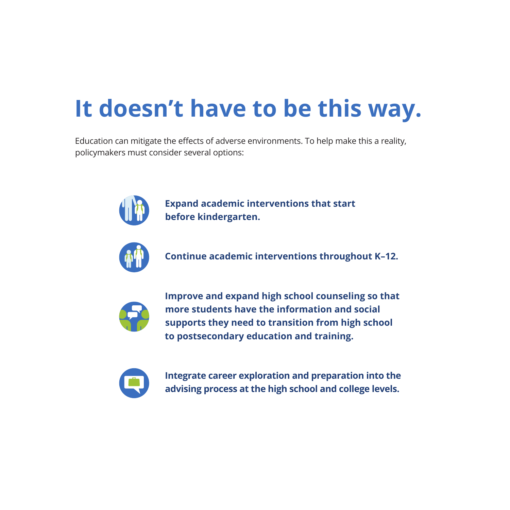## **It doesn't have to be this way.**

Education can mitigate the effects of adverse environments. To help make this a reality, policymakers must consider several options:



**Expand academic interventions that start before kindergarten.**



**Continue academic interventions throughout K–12.**



**Improve and expand high school counseling so that more students have the information and social supports they need to transition from high school to postsecondary education and training.**



**Integrate career exploration and preparation into the advising process at the high school and college levels.**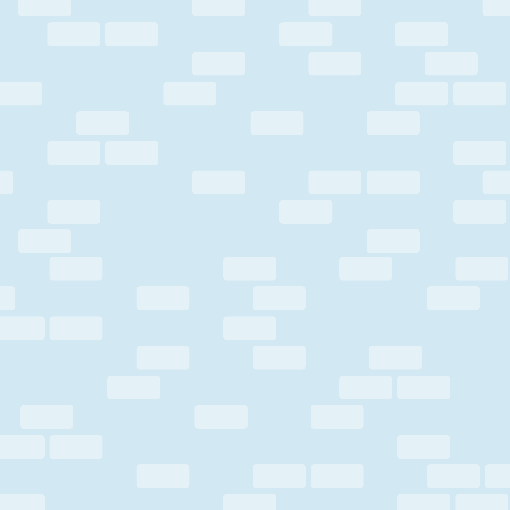